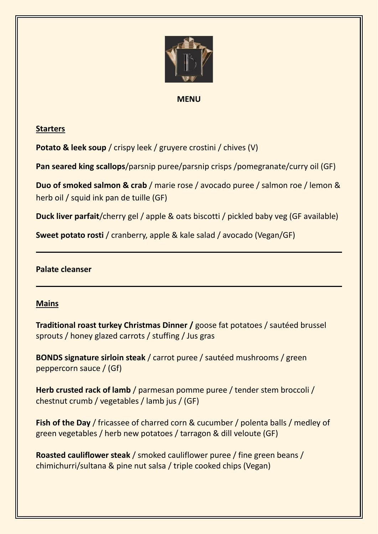

#### **MENU**

## **Starters**

**Potato & leek soup** / crispy leek / gruyere crostini / chives (V)

**Pan seared king scallops**/parsnip puree/parsnip crisps /pomegranate/curry oil (GF)

**Duo of smoked salmon & crab** / marie rose / avocado puree / salmon roe / lemon & herb oil / squid ink pan de tuille (GF)

**Duck liver parfait**/cherry gel / apple & oats biscotti / pickled baby veg (GF available)

**Sweet potato rosti** / cranberry, apple & kale salad / avocado (Vegan/GF)

### **Palate cleanser**

# **Mains**

**Traditional roast turkey Christmas Dinner /** goose fat potatoes / sautéed brussel sprouts / honey glazed carrots / stuffing / Jus gras

**BONDS signature sirloin steak** / carrot puree / sautéed mushrooms / green peppercorn sauce / (Gf)

**Herb crusted rack of lamb** / parmesan pomme puree / tender stem broccoli / chestnut crumb / vegetables / lamb jus / (GF)

**Fish of the Day** / fricassee of charred corn & cucumber / polenta balls / medley of green vegetables / herb new potatoes / tarragon & dill veloute (GF)

**Roasted cauliflower steak** / smoked cauliflower puree / fine green beans / chimichurri/sultana & pine nut salsa / triple cooked chips (Vegan)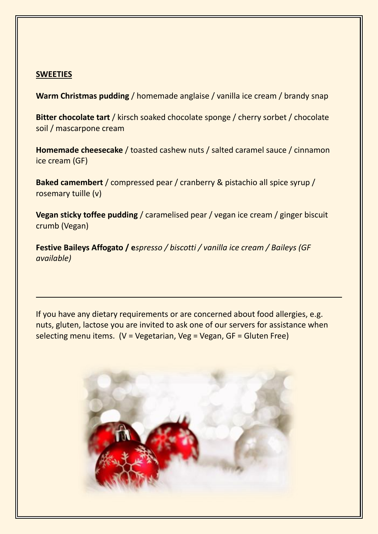#### **SWEETIES**

**Warm Christmas pudding** / homemade anglaise / vanilla ice cream / brandy snap

**Bitter chocolate tart** / kirsch soaked chocolate sponge / cherry sorbet / chocolate soil / mascarpone cream

**Homemade cheesecake** / toasted cashew nuts / salted caramel sauce / cinnamon ice cream (GF)

**Baked camembert** / compressed pear / cranberry & pistachio all spice syrup / rosemary tuille (v)

**Vegan sticky toffee pudding** / caramelised pear / vegan ice cream / ginger biscuit crumb (Vegan)

**Festive Baileys Affogato / e***spresso / biscotti / vanilla ice cream / Baileys (GF available)*

If you have any dietary requirements or are concerned about food allergies, e.g. nuts, gluten, lactose you are invited to ask one of our servers for assistance when selecting menu items.  $(V = Vegetarian, Veg = Vegan, GF = Gluten Free)$